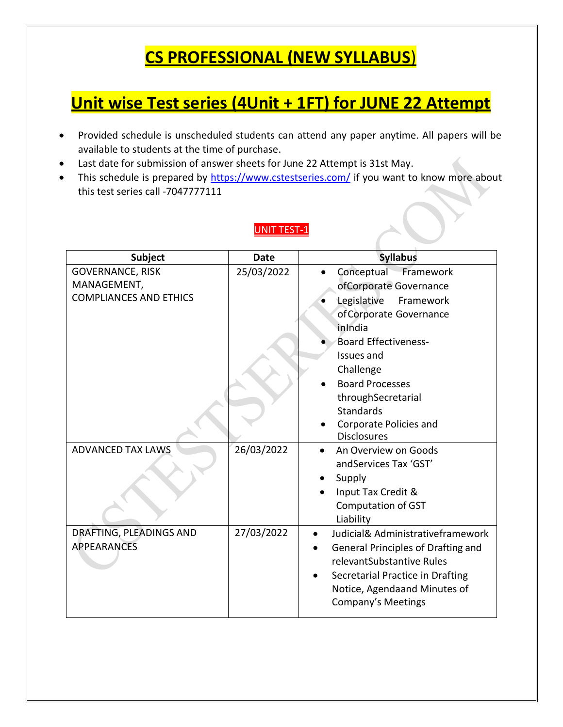## **CS PROFESSIONAL (NEW SYLLABUS**)

## **Unit wise Test series (4Unit + 1FT) for JUNE 22 Attempt**

- Provided schedule is unscheduled students can attend any paper anytime. All papers will be available to students at the time of purchase.
- Last date for submission of answer sheets for June 22 Attempt is 31st May.
- This schedule is prepared by<https://www.cstestseries.com/> if you want to know more about this test series call -7047777111

### UNIT TEST-1

| <b>Subject</b>                | <b>Date</b> | <b>Syllabus</b>                    |
|-------------------------------|-------------|------------------------------------|
| <b>GOVERNANCE, RISK</b>       | 25/03/2022  | Conceptual Framework               |
| MANAGEMENT,                   |             | ofCorporate Governance             |
| <b>COMPLIANCES AND ETHICS</b> |             | Legislative<br>Framework           |
|                               |             | of Corporate Governance            |
|                               |             | inIndia                            |
|                               |             | <b>Board Effectiveness-</b>        |
|                               |             | <b>Issues and</b>                  |
|                               |             | Challenge                          |
|                               |             | <b>Board Processes</b>             |
|                               |             | throughSecretarial                 |
|                               |             | <b>Standards</b>                   |
|                               |             | Corporate Policies and             |
|                               |             | <b>Disclosures</b>                 |
| <b>ADVANCED TAX LAWS</b>      | 26/03/2022  | An Overview on Goods               |
|                               |             | and Services Tax 'GST'             |
|                               |             | Supply                             |
|                               |             | Input Tax Credit &                 |
|                               |             | <b>Computation of GST</b>          |
|                               |             | Liability                          |
| DRAFTING, PLEADINGS AND       | 27/03/2022  | Judicial& Administrativeframework  |
| <b>APPEARANCES</b>            |             | General Principles of Drafting and |
|                               |             | relevantSubstantive Rules          |
|                               |             | Secretarial Practice in Drafting   |
|                               |             | Notice, Agendaand Minutes of       |
|                               |             | Company's Meetings                 |
|                               |             |                                    |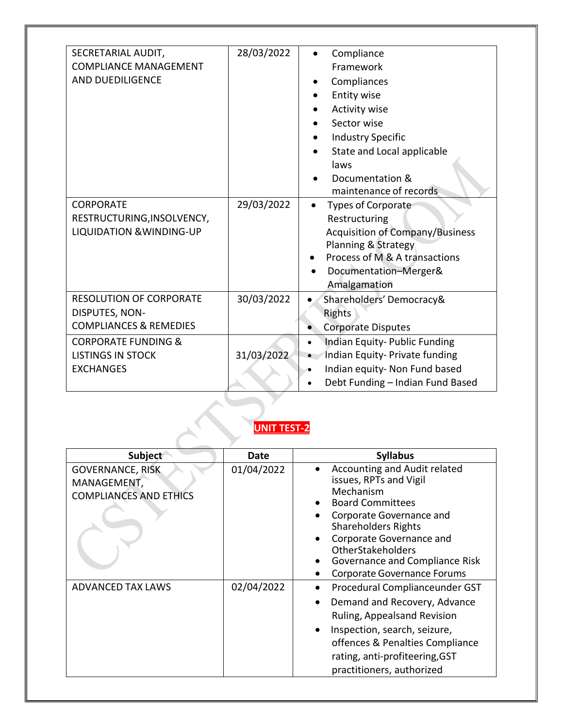| SECRETARIAL AUDIT,<br><b>COMPLIANCE MANAGEMENT</b><br>AND DUEDILIGENCE                | 28/03/2022 | Compliance<br>Framework<br>Compliances<br>Entity wise<br><b>Activity wise</b><br>Sector wise<br><b>Industry Specific</b><br>State and Local applicable<br>laws<br>Documentation &<br>maintenance of records |  |
|---------------------------------------------------------------------------------------|------------|-------------------------------------------------------------------------------------------------------------------------------------------------------------------------------------------------------------|--|
| <b>CORPORATE</b><br>RESTRUCTURING, INSOLVENCY,<br><b>LIQUIDATION &amp; WINDING-UP</b> | 29/03/2022 | <b>Types of Corporate</b><br>Restructuring<br><b>Acquisition of Company/Business</b><br>Planning & Strategy<br>Process of M & A transactions<br>Documentation-Merger&<br>Amalgamation                       |  |
| <b>RESOLUTION OF CORPORATE</b><br>DISPUTES, NON-<br><b>COMPLIANCES &amp; REMEDIES</b> | 30/03/2022 | Shareholders' Democracy&<br>$\bullet$<br><b>Rights</b><br><b>Corporate Disputes</b>                                                                                                                         |  |
| <b>CORPORATE FUNDING &amp;</b><br><b>LISTINGS IN STOCK</b><br><b>EXCHANGES</b>        | 31/03/2022 | Indian Equity-Public Funding<br>Indian Equity- Private funding<br>Indian equity- Non Fund based<br>Debt Funding - Indian Fund Based                                                                         |  |
| <b>UNIT TEST-2</b>                                                                    |            |                                                                                                                                                                                                             |  |

| Subject                                                                 | Date       | <b>Syllabus</b>                                                                                                                                                                                                                                                                   |
|-------------------------------------------------------------------------|------------|-----------------------------------------------------------------------------------------------------------------------------------------------------------------------------------------------------------------------------------------------------------------------------------|
| <b>GOVERNANCE, RISK</b><br>MANAGEMENT,<br><b>COMPLIANCES AND ETHICS</b> | 01/04/2022 | Accounting and Audit related<br>issues, RPTs and Vigil<br>Mechanism<br><b>Board Committees</b><br>Corporate Governance and<br><b>Shareholders Rights</b><br>Corporate Governance and<br>OtherStakeholders<br>Governance and Compliance Risk<br><b>Corporate Governance Forums</b> |
| <b>ADVANCED TAX LAWS</b>                                                | 02/04/2022 | Procedural Complianceunder GST<br>Demand and Recovery, Advance<br>Ruling, Appealsand Revision<br>Inspection, search, seizure,<br>offences & Penalties Compliance<br>rating, anti-profiteering, GST<br>practitioners, authorized                                                   |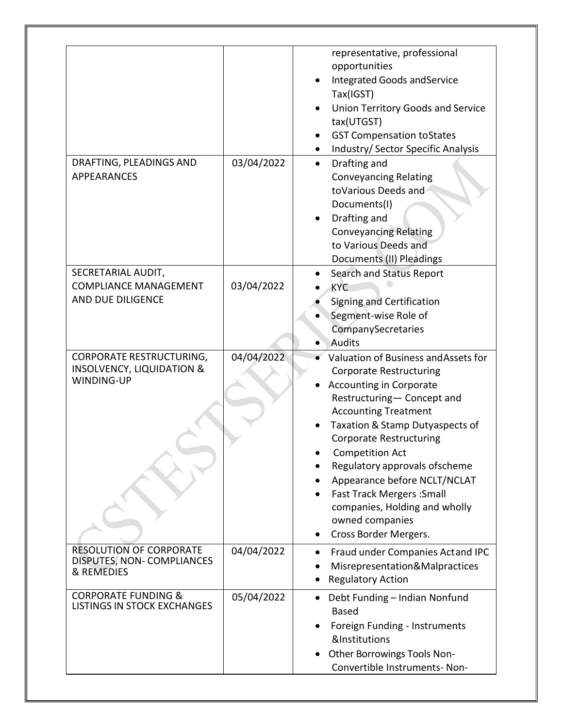|                                                                                              |            | representative, professional<br>opportunities<br>Integrated Goods and Service<br>Tax(IGST)<br>Union Territory Goods and Service<br>tax(UTGST)<br><b>GST Compensation toStates</b><br>Industry/ Sector Specific Analysis                                                                                                                                                                                                                                |
|----------------------------------------------------------------------------------------------|------------|--------------------------------------------------------------------------------------------------------------------------------------------------------------------------------------------------------------------------------------------------------------------------------------------------------------------------------------------------------------------------------------------------------------------------------------------------------|
| DRAFTING, PLEADINGS AND<br><b>APPEARANCES</b>                                                | 03/04/2022 | Drafting and<br>$\bullet$<br><b>Conveyancing Relating</b><br>toVarious Deeds and<br>Documents(I)<br>Drafting and<br><b>Conveyancing Relating</b><br>to Various Deeds and<br>Documents (II) Pleadings                                                                                                                                                                                                                                                   |
| SECRETARIAL AUDIT,<br><b>COMPLIANCE MANAGEMENT</b><br>AND DUE DILIGENCE                      | 03/04/2022 | <b>Search and Status Report</b><br><b>KYC</b><br>Signing and Certification<br>Segment-wise Role of<br>CompanySecretaries<br>Audits                                                                                                                                                                                                                                                                                                                     |
| <b>CORPORATE RESTRUCTURING,</b><br><b>INSOLVENCY, LIQUIDATION &amp;</b><br><b>WINDING-UP</b> | 04/04/2022 | Valuation of Business and Assets for<br><b>Corporate Restructuring</b><br><b>Accounting in Corporate</b><br>Restructuring- Concept and<br><b>Accounting Treatment</b><br>Taxation & Stamp Dutyaspects of<br><b>Corporate Restructuring</b><br><b>Competition Act</b><br>Regulatory approvals ofscheme<br>Appearance before NCLT/NCLAT<br><b>Fast Track Mergers: Small</b><br>companies, Holding and wholly<br>owned companies<br>Cross Border Mergers. |
| <b>RESOLUTION OF CORPORATE</b><br>DISPUTES, NON-COMPLIANCES<br>& REMEDIES                    | 04/04/2022 | Fraud under Companies Actand IPC<br>Misrepresentation&Malpractices<br><b>Regulatory Action</b>                                                                                                                                                                                                                                                                                                                                                         |
| <b>CORPORATE FUNDING &amp;</b><br><b>LISTINGS IN STOCK EXCHANGES</b>                         | 05/04/2022 | Debt Funding - Indian Nonfund<br><b>Based</b><br>Foreign Funding - Instruments<br>&Institutions<br>Other Borrowings Tools Non-<br>Convertible Instruments- Non-                                                                                                                                                                                                                                                                                        |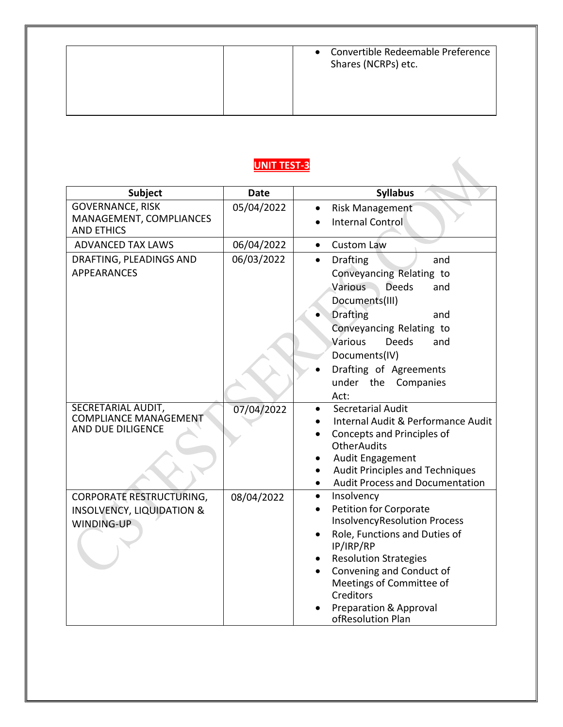| Convertible Redeemable Preference<br>$\bullet$<br>Shares (NCRPs) etc. |
|-----------------------------------------------------------------------|
|                                                                       |

## **UNIT TEST-3**

| <b>Subject</b>                                                                        | <b>Date</b> | <b>Syllabus</b>                                                                                                                                                                                                                                                                                       |
|---------------------------------------------------------------------------------------|-------------|-------------------------------------------------------------------------------------------------------------------------------------------------------------------------------------------------------------------------------------------------------------------------------------------------------|
| <b>GOVERNANCE, RISK</b>                                                               | 05/04/2022  | <b>Risk Management</b>                                                                                                                                                                                                                                                                                |
| MANAGEMENT, COMPLIANCES<br><b>AND ETHICS</b>                                          |             | Internal Control                                                                                                                                                                                                                                                                                      |
| <b>ADVANCED TAX LAWS</b>                                                              | 06/04/2022  | <b>Custom Law</b><br>$\bullet$                                                                                                                                                                                                                                                                        |
| DRAFTING, PLEADINGS AND<br><b>APPEARANCES</b>                                         | 06/03/2022  | <b>Drafting</b><br>$\bullet$<br>and<br>Conveyancing Relating to<br>Various<br><b>Deeds</b><br>and<br>Documents(III)<br><b>Drafting</b><br>and<br>Conveyancing Relating to<br>Various<br><b>Deeds</b><br>and<br>Documents(IV)<br>Drafting of Agreements<br>under the<br>Companies                      |
| SECRETARIAL AUDIT,<br><b>COMPLIANCE MANAGEMENT</b><br>AND DUE DILIGENCE               | 07/04/2022  | Act:<br>Secretarial Audit<br>Internal Audit & Performance Audit<br>Concepts and Principles of<br><b>OtherAudits</b><br>Audit Engagement<br>Audit Principles and Techniques<br><b>Audit Process and Documentation</b>                                                                                  |
| <b>CORPORATE RESTRUCTURING,</b><br><b>INSOLVENCY, LIQUIDATION &amp;</b><br>WINDING-UP | 08/04/2022  | Insolvency<br>$\bullet$<br>Petition for Corporate<br><b>InsolvencyResolution Process</b><br>Role, Functions and Duties of<br>IP/IRP/RP<br><b>Resolution Strategies</b><br>Convening and Conduct of<br>Meetings of Committee of<br>Creditors<br><b>Preparation &amp; Approval</b><br>ofResolution Plan |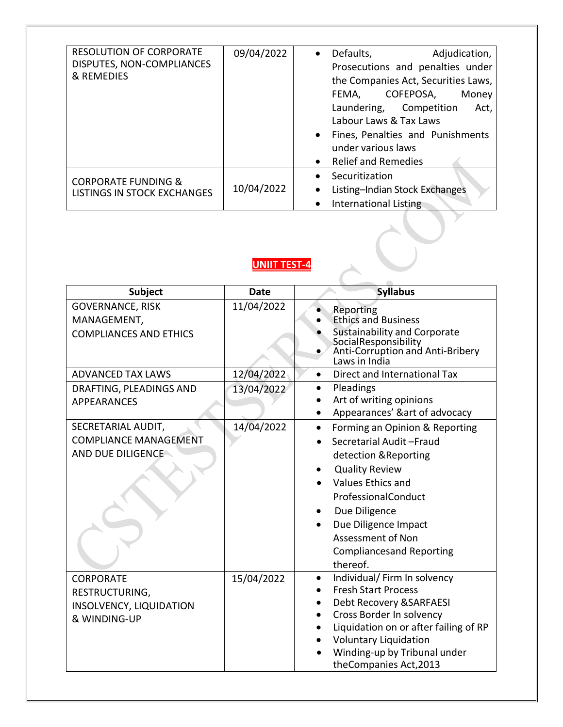| <b>RESOLUTION OF CORPORATE</b><br>DISPUTES, NON-COMPLIANCES<br>& REMEDIES | 09/04/2022 | Defaults,<br>Adjudication,<br>$\bullet$<br>Prosecutions and penalties under<br>the Companies Act, Securities Laws,<br>COFEPOSA,<br>Money<br>FEMA,<br>Laundering, Competition<br>Act,<br>Labour Laws & Tax Laws<br>Fines, Penalties and Punishments<br>under various laws<br><b>Relief and Remedies</b> |
|---------------------------------------------------------------------------|------------|--------------------------------------------------------------------------------------------------------------------------------------------------------------------------------------------------------------------------------------------------------------------------------------------------------|
| <b>CORPORATE FUNDING &amp;</b><br><b>LISTINGS IN STOCK EXCHANGES</b>      | 10/04/2022 | Securitization<br>Listing-Indian Stock Exchanges<br>$\bullet$<br>International Listing                                                                                                                                                                                                                 |

## **UNIIT TEST-4**

| Subject                                                                              | <b>Date</b> | <b>Syllabus</b>                                                                                                                                                                                                                                                                          |
|--------------------------------------------------------------------------------------|-------------|------------------------------------------------------------------------------------------------------------------------------------------------------------------------------------------------------------------------------------------------------------------------------------------|
| <b>GOVERNANCE, RISK</b><br>MANAGEMENT,<br><b>COMPLIANCES AND ETHICS</b>              | 11/04/2022  | Reporting<br><b>Ethics and Business</b><br><b>Sustainability and Corporate</b><br>SocialResponsibility<br>Anti-Corruption and Anti-Bribery<br>Laws in India                                                                                                                              |
| <b>ADVANCED TAX LAWS</b>                                                             | 12/04/2022  | Direct and International Tax<br>$\bullet$                                                                                                                                                                                                                                                |
| DRAFTING, PLEADINGS AND<br><b>APPEARANCES</b>                                        | 13/04/2022  | Pleadings<br>$\bullet$<br>Art of writing opinions<br>Appearances' &art of advocacy                                                                                                                                                                                                       |
| SECRETARIAL AUDIT,<br><b>COMPLIANCE MANAGEMENT</b><br>AND DUE DILIGENCE              | 14/04/2022  | Forming an Opinion & Reporting<br>$\bullet$<br>Secretarial Audit-Fraud<br>detection & Reporting<br><b>Quality Review</b><br><b>Values Ethics and</b><br>ProfessionalConduct<br>Due Diligence<br>Due Diligence Impact<br>Assessment of Non<br><b>Compliancesand Reporting</b><br>thereof. |
| <b>CORPORATE</b><br>RESTRUCTURING,<br><b>INSOLVENCY, LIQUIDATION</b><br>& WINDING-UP | 15/04/2022  | Individual/ Firm In solvency<br><b>Fresh Start Process</b><br>Debt Recovery & SARFAESI<br>Cross Border In solvency<br>Liquidation on or after failing of RP<br><b>Voluntary Liquidation</b><br>Winding-up by Tribunal under<br>theCompanies Act, 2013                                    |